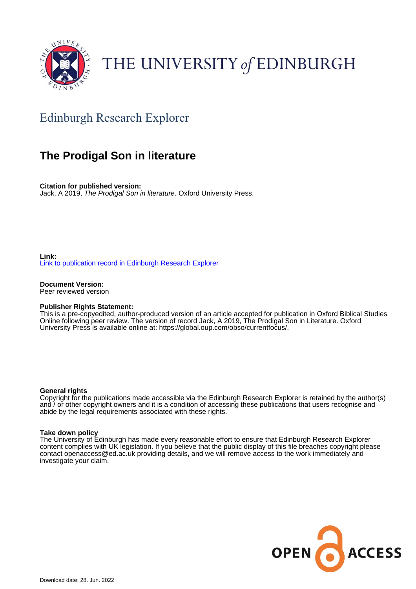

# THE UNIVERSITY of EDINBURGH

# Edinburgh Research Explorer

# **The Prodigal Son in literature**

**Citation for published version:** Jack, A 2019, The Prodigal Son in literature. Oxford University Press.

**Link:** [Link to publication record in Edinburgh Research Explorer](https://www.research.ed.ac.uk/en/publications/43aa0d3b-263e-41bc-b869-9f541fff3bbd)

**Document Version:** Peer reviewed version

#### **Publisher Rights Statement:**

This is a pre-copyedited, author-produced version of an article accepted for publication in Oxford Biblical Studies Online following peer review. The version of record Jack, A 2019, The Prodigal Son in Literature. Oxford University Press is available online at: https://global.oup.com/obso/currentfocus/.

#### **General rights**

Copyright for the publications made accessible via the Edinburgh Research Explorer is retained by the author(s) and / or other copyright owners and it is a condition of accessing these publications that users recognise and abide by the legal requirements associated with these rights.

#### **Take down policy**

The University of Edinburgh has made every reasonable effort to ensure that Edinburgh Research Explorer content complies with UK legislation. If you believe that the public display of this file breaches copyright please contact openaccess@ed.ac.uk providing details, and we will remove access to the work immediately and investigate your claim.

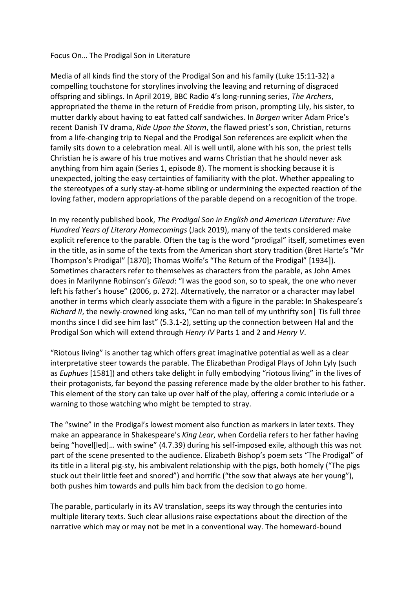### Focus On… The Prodigal Son in Literature

Media of all kinds find the story of the Prodigal Son and his family (Luke 15:11-32) a compelling touchstone for storylines involving the leaving and returning of disgraced offspring and siblings. In April 2019, BBC Radio 4's long-running series, *The Archers*, appropriated the theme in the return of Freddie from prison, prompting Lily, his sister, to mutter darkly about having to eat fatted calf sandwiches. In *Borgen* writer Adam Price's recent Danish TV drama, *Ride Upon the Storm*, the flawed priest's son, Christian, returns from a life-changing trip to Nepal and the Prodigal Son references are explicit when the family sits down to a celebration meal. All is well until, alone with his son, the priest tells Christian he is aware of his true motives and warns Christian that he should never ask anything from him again (Series 1, episode 8). The moment is shocking because it is unexpected, jolting the easy certainties of familiarity with the plot. Whether appealing to the stereotypes of a surly stay-at-home sibling or undermining the expected reaction of the loving father, modern appropriations of the parable depend on a recognition of the trope.

In my recently published book, *The Prodigal Son in English and American Literature: Five Hundred Years of Literary Homecomings* (Jack 2019), many of the texts considered make explicit reference to the parable. Often the tag is the word "prodigal" itself, sometimes even in the title, as in some of the texts from the American short story tradition (Bret Harte's "Mr Thompson's Prodigal" [1870]; Thomas Wolfe's "The Return of the Prodigal" [1934]). Sometimes characters refer to themselves as characters from the parable, as John Ames does in Marilynne Robinson's *Gilead*: "I was the good son, so to speak, the one who never left his father's house" (2006, p. 272). Alternatively, the narrator or a character may label another in terms which clearly associate them with a figure in the parable: In Shakespeare's *Richard II*, the newly-crowned king asks, "Can no man tell of my unthrifty son| Tis full three months since I did see him last" (5.3.1-2), setting up the connection between Hal and the Prodigal Son which will extend through *Henry IV* Parts 1 and 2 and *Henry V*.

"Riotous living" is another tag which offers great imaginative potential as well as a clear interpretative steer towards the parable. The Elizabethan Prodigal Plays of John Lyly (such as *Euphues* [1581]) and others take delight in fully embodying "riotous living" in the lives of their protagonists, far beyond the passing reference made by the older brother to his father. This element of the story can take up over half of the play, offering a comic interlude or a warning to those watching who might be tempted to stray.

The "swine" in the Prodigal's lowest moment also function as markers in later texts. They make an appearance in Shakespeare's *King Lear*, when Cordelia refers to her father having being "hovel[led]… with swine" (4.7.39) during his self-imposed exile, although this was not part of the scene presented to the audience. Elizabeth Bishop's poem sets "The Prodigal" of its title in a literal pig-sty, his ambivalent relationship with the pigs, both homely ("The pigs stuck out their little feet and snored") and horrific ("the sow that always ate her young"), both pushes him towards and pulls him back from the decision to go home.

The parable, particularly in its AV translation, seeps its way through the centuries into multiple literary texts. Such clear allusions raise expectations about the direction of the narrative which may or may not be met in a conventional way. The homeward-bound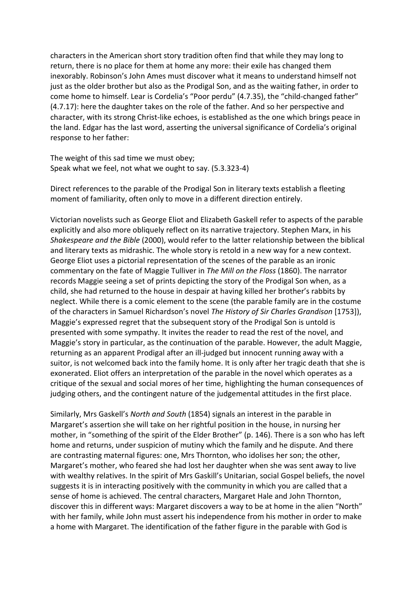characters in the American short story tradition often find that while they may long to return, there is no place for them at home any more: their exile has changed them inexorably. Robinson's John Ames must discover what it means to understand himself not just as the older brother but also as the Prodigal Son, and as the waiting father, in order to come home to himself. Lear is Cordelia's "Poor perdu" (4.7.35), the "child-changed father" (4.7.17): here the daughter takes on the role of the father. And so her perspective and character, with its strong Christ-like echoes, is established as the one which brings peace in the land. Edgar has the last word, asserting the universal significance of Cordelia's original response to her father:

The weight of this sad time we must obey; Speak what we feel, not what we ought to say. (5.3.323-4)

Direct references to the parable of the Prodigal Son in literary texts establish a fleeting moment of familiarity, often only to move in a different direction entirely.

Victorian novelists such as George Eliot and Elizabeth Gaskell refer to aspects of the parable explicitly and also more obliquely reflect on its narrative trajectory. Stephen Marx, in his *Shakespeare and the Bible* (2000), would refer to the latter relationship between the biblical and literary texts as midrashic. The whole story is retold in a new way for a new context. George Eliot uses a pictorial representation of the scenes of the parable as an ironic commentary on the fate of Maggie Tulliver in *The Mill on the Floss* (1860). The narrator records Maggie seeing a set of prints depicting the story of the Prodigal Son when, as a child, she had returned to the house in despair at having killed her brother's rabbits by neglect. While there is a comic element to the scene (the parable family are in the costume of the characters in Samuel Richardson's novel *The History of Sir Charles Grandison* [1753]), Maggie's expressed regret that the subsequent story of the Prodigal Son is untold is presented with some sympathy. It invites the reader to read the rest of the novel, and Maggie's story in particular, as the continuation of the parable. However, the adult Maggie, returning as an apparent Prodigal after an ill-judged but innocent running away with a suitor, is not welcomed back into the family home. It is only after her tragic death that she is exonerated. Eliot offers an interpretation of the parable in the novel which operates as a critique of the sexual and social mores of her time, highlighting the human consequences of judging others, and the contingent nature of the judgemental attitudes in the first place.

Similarly, Mrs Gaskell's *North and South* (1854) signals an interest in the parable in Margaret's assertion she will take on her rightful position in the house, in nursing her mother, in "something of the spirit of the Elder Brother" (p. 146). There is a son who has left home and returns, under suspicion of mutiny which the family and he dispute. And there are contrasting maternal figures: one, Mrs Thornton, who idolises her son; the other, Margaret's mother, who feared she had lost her daughter when she was sent away to live with wealthy relatives. In the spirit of Mrs Gaskill's Unitarian, social Gospel beliefs, the novel suggests it is in interacting positively with the community in which you are called that a sense of home is achieved. The central characters, Margaret Hale and John Thornton, discover this in different ways: Margaret discovers a way to be at home in the alien "North" with her family, while John must assert his independence from his mother in order to make a home with Margaret. The identification of the father figure in the parable with God is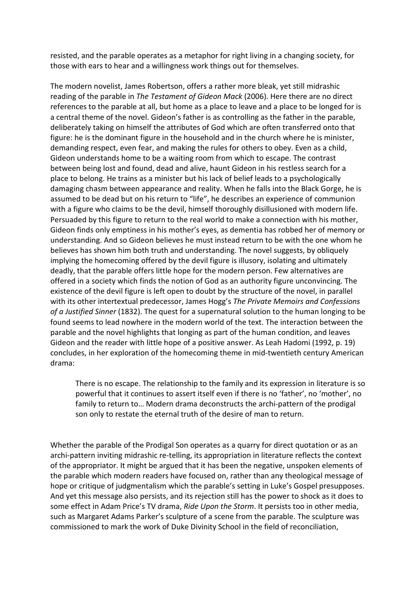resisted, and the parable operates as a metaphor for right living in a changing society, for those with ears to hear and a willingness work things out for themselves.

The modern novelist, James Robertson, offers a rather more bleak, yet still midrashic reading of the parable in *The Testament of Gideon Mack* (2006). Here there are no direct references to the parable at all, but home as a place to leave and a place to be longed for is a central theme of the novel. Gideon's father is as controlling as the father in the parable, deliberately taking on himself the attributes of God which are often transferred onto that figure: he is the dominant figure in the household and in the church where he is minister, demanding respect, even fear, and making the rules for others to obey. Even as a child, Gideon understands home to be a waiting room from which to escape. The contrast between being lost and found, dead and alive, haunt Gideon in his restless search for a place to belong. He trains as a minister but his lack of belief leads to a psychologically damaging chasm between appearance and reality. When he falls into the Black Gorge, he is assumed to be dead but on his return to "life", he describes an experience of communion with a figure who claims to be the devil, himself thoroughly disillusioned with modern life. Persuaded by this figure to return to the real world to make a connection with his mother, Gideon finds only emptiness in his mother's eyes, as dementia has robbed her of memory or understanding. And so Gideon believes he must instead return to be with the one whom he believes has shown him both truth and understanding. The novel suggests, by obliquely implying the homecoming offered by the devil figure is illusory, isolating and ultimately deadly, that the parable offers little hope for the modern person. Few alternatives are offered in a society which finds the notion of God as an authority figure unconvincing. The existence of the devil figure is left open to doubt by the structure of the novel, in parallel with its other intertextual predecessor, James Hogg's *The Private Memoirs and Confessions of a Justified Sinner* (1832). The quest for a supernatural solution to the human longing to be found seems to lead nowhere in the modern world of the text. The interaction between the parable and the novel highlights that longing as part of the human condition, and leaves Gideon and the reader with little hope of a positive answer. As Leah Hadomi (1992, p. 19) concludes, in her exploration of the homecoming theme in mid-twentieth century American drama:

There is no escape. The relationship to the family and its expression in literature is so powerful that it continues to assert itself even if there is no 'father', no 'mother', no family to return to… Modern drama deconstructs the archi-pattern of the prodigal son only to restate the eternal truth of the desire of man to return.

Whether the parable of the Prodigal Son operates as a quarry for direct quotation or as an archi-pattern inviting midrashic re-telling, its appropriation in literature reflects the context of the appropriator. It might be argued that it has been the negative, unspoken elements of the parable which modern readers have focused on, rather than any theological message of hope or critique of judgmentalism which the parable's setting in Luke's Gospel presupposes. And yet this message also persists, and its rejection still has the power to shock as it does to some effect in Adam Price's TV drama, *Ride Upon the Storm*. It persists too in other media, such as Margaret Adams Parker's sculpture of a scene from the parable. The sculpture was commissioned to mark the work of Duke Divinity School in the field of reconciliation,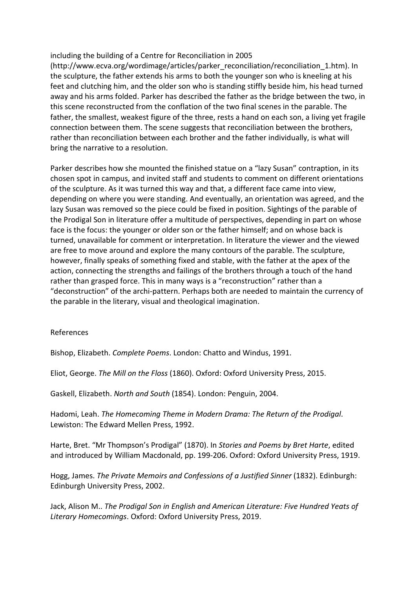### including the building of a Centre for Reconciliation in 2005

(http://www.ecva.org/wordimage/articles/parker\_reconciliation/reconciliation\_1.htm). In the sculpture, the father extends his arms to both the younger son who is kneeling at his feet and clutching him, and the older son who is standing stiffly beside him, his head turned away and his arms folded. Parker has described the father as the bridge between the two, in this scene reconstructed from the conflation of the two final scenes in the parable. The father, the smallest, weakest figure of the three, rests a hand on each son, a living yet fragile connection between them. The scene suggests that reconciliation between the brothers, rather than reconciliation between each brother and the father individually, is what will bring the narrative to a resolution.

Parker describes how she mounted the finished statue on a "lazy Susan" contraption, in its chosen spot in campus, and invited staff and students to comment on different orientations of the sculpture. As it was turned this way and that, a different face came into view, depending on where you were standing. And eventually, an orientation was agreed, and the lazy Susan was removed so the piece could be fixed in position. Sightings of the parable of the Prodigal Son in literature offer a multitude of perspectives, depending in part on whose face is the focus: the younger or older son or the father himself; and on whose back is turned, unavailable for comment or interpretation. In literature the viewer and the viewed are free to move around and explore the many contours of the parable. The sculpture, however, finally speaks of something fixed and stable, with the father at the apex of the action, connecting the strengths and failings of the brothers through a touch of the hand rather than grasped force. This in many ways is a "reconstruction" rather than a "deconstruction" of the archi-pattern. Perhaps both are needed to maintain the currency of the parable in the literary, visual and theological imagination.

## References

Bishop, Elizabeth. *Complete Poems*. London: Chatto and Windus, 1991.

Eliot, George. *The Mill on the Floss* (1860). Oxford: Oxford University Press, 2015.

Gaskell, Elizabeth. *North and South* (1854). London: Penguin, 2004.

Hadomi, Leah. *The Homecoming Theme in Modern Drama: The Return of the Prodigal*. Lewiston: The Edward Mellen Press, 1992.

Harte, Bret. "Mr Thompson's Prodigal" (1870). In *Stories and Poems by Bret Harte*, edited and introduced by William Macdonald, pp. 199-206. Oxford: Oxford University Press, 1919.

Hogg, James. *The Private Memoirs and Confessions of a Justified Sinner* (1832). Edinburgh: Edinburgh University Press, 2002.

Jack, Alison M.. *The Prodigal Son in English and American Literature: Five Hundred Yeats of Literary Homecomings*. Oxford: Oxford University Press, 2019.